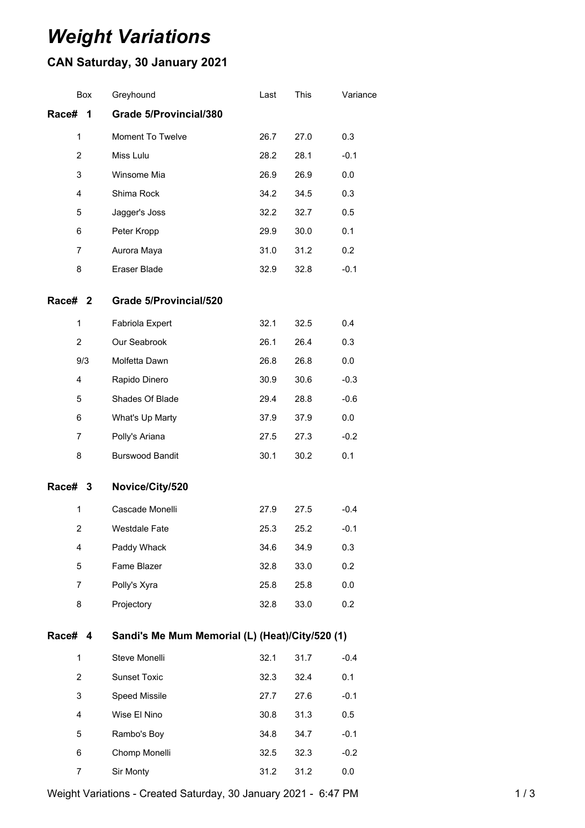## *Weight Variations*

## **CAN Saturday, 30 January 2021**

| Box                | Greyhound                                       | Last | This | Variance |  |  |
|--------------------|-------------------------------------------------|------|------|----------|--|--|
| Race#<br>1         | <b>Grade 5/Provincial/380</b>                   |      |      |          |  |  |
| 1                  | Moment To Twelve                                | 26.7 | 27.0 | 0.3      |  |  |
| $\overline{2}$     | Miss Lulu                                       | 28.2 | 28.1 | $-0.1$   |  |  |
| 3                  | Winsome Mia                                     | 26.9 | 26.9 | 0.0      |  |  |
| 4                  | Shima Rock                                      | 34.2 | 34.5 | 0.3      |  |  |
| 5                  | Jagger's Joss                                   | 32.2 | 32.7 | 0.5      |  |  |
| 6                  | Peter Kropp                                     | 29.9 | 30.0 | 0.1      |  |  |
| 7                  | Aurora Maya                                     | 31.0 | 31.2 | 0.2      |  |  |
| 8                  | Eraser Blade                                    | 32.9 | 32.8 | $-0.1$   |  |  |
| Race# <sub>2</sub> | <b>Grade 5/Provincial/520</b>                   |      |      |          |  |  |
| 1                  | Fabriola Expert                                 | 32.1 | 32.5 | 0.4      |  |  |
| $\overline{2}$     | Our Seabrook                                    | 26.1 | 26.4 | 0.3      |  |  |
| 9/3                | Molfetta Dawn                                   | 26.8 | 26.8 | 0.0      |  |  |
| 4                  | Rapido Dinero                                   | 30.9 | 30.6 | $-0.3$   |  |  |
| 5                  | Shades Of Blade                                 | 29.4 | 28.8 | $-0.6$   |  |  |
| 6                  | What's Up Marty                                 | 37.9 | 37.9 | 0.0      |  |  |
| 7                  | Polly's Ariana                                  | 27.5 | 27.3 | $-0.2$   |  |  |
| 8                  | <b>Burswood Bandit</b>                          | 30.1 | 30.2 | 0.1      |  |  |
| Race# 3            | Novice/City/520                                 |      |      |          |  |  |
| 1                  | Cascade Monelli                                 | 27.9 | 27.5 | $-0.4$   |  |  |
| 2                  | Westdale Fate                                   | 25.3 | 25.2 | $-0.1$   |  |  |
| 4                  | Paddy Whack                                     | 34.6 | 34.9 | 0.3      |  |  |
| 5                  | Fame Blazer                                     | 32.8 | 33.0 | 0.2      |  |  |
| $\overline{7}$     | Polly's Xyra                                    | 25.8 | 25.8 | 0.0      |  |  |
| 8                  | Projectory                                      | 32.8 | 33.0 | 0.2      |  |  |
| Race# 4            | Sandi's Me Mum Memorial (L) (Heat)/City/520 (1) |      |      |          |  |  |
| 1                  | Steve Monelli                                   | 32.1 | 31.7 | $-0.4$   |  |  |
| $\overline{2}$     | <b>Sunset Toxic</b>                             | 32.3 | 32.4 | 0.1      |  |  |
| 3                  | Speed Missile                                   | 27.7 | 27.6 | $-0.1$   |  |  |
| 4                  | Wise El Nino                                    | 30.8 | 31.3 | 0.5      |  |  |
| 5                  | Rambo's Boy                                     | 34.8 | 34.7 | $-0.1$   |  |  |
| 6                  | Chomp Monelli                                   | 32.5 | 32.3 | $-0.2$   |  |  |
| 7                  | Sir Monty                                       | 31.2 | 31.2 | 0.0      |  |  |

Weight Variations - Created Saturday, 30 January 2021 - 6:47 PM 1 / 3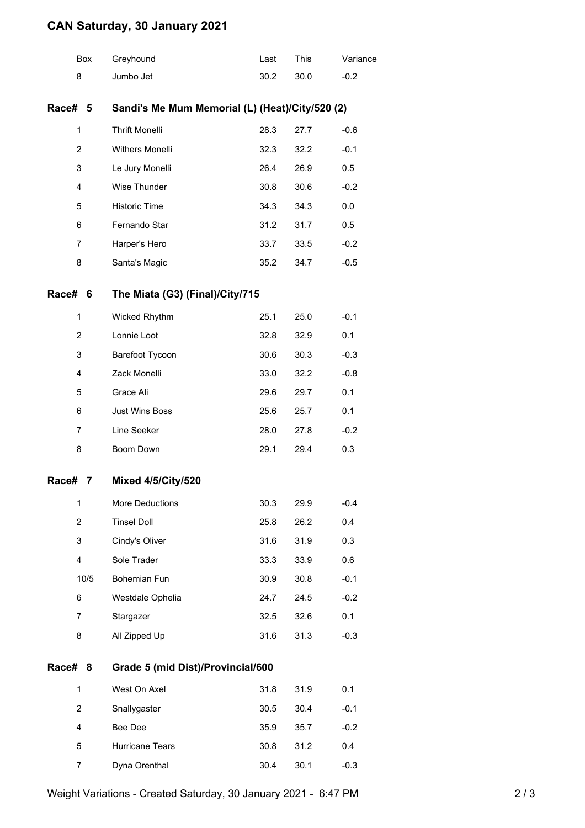## **CAN Saturday, 30 January 2021**

|                | Box  | Greyhound                                       | Last | This | Variance |  |  |
|----------------|------|-------------------------------------------------|------|------|----------|--|--|
| 8              |      | Jumbo Jet                                       | 30.2 | 30.0 | $-0.2$   |  |  |
| Race#          | 5    | Sandi's Me Mum Memorial (L) (Heat)/City/520 (2) |      |      |          |  |  |
| 1              |      | <b>Thrift Monelli</b>                           | 28.3 | 27.7 | $-0.6$   |  |  |
| $\overline{2}$ |      | Withers Monelli                                 | 32.3 | 32.2 | $-0.1$   |  |  |
| 3              |      | Le Jury Monelli                                 | 26.4 | 26.9 | 0.5      |  |  |
| $\overline{4}$ |      | Wise Thunder                                    | 30.8 | 30.6 | $-0.2$   |  |  |
| 5              |      | Historic Time                                   | 34.3 | 34.3 | 0.0      |  |  |
| 6              |      | Fernando Star                                   | 31.2 | 31.7 | 0.5      |  |  |
| $\overline{7}$ |      | Harper's Hero                                   | 33.7 | 33.5 | $-0.2$   |  |  |
| 8              |      | Santa's Magic                                   | 35.2 | 34.7 | $-0.5$   |  |  |
| Race#          | 6    | The Miata (G3) (Final)/City/715                 |      |      |          |  |  |
| 1              |      | Wicked Rhythm                                   | 25.1 | 25.0 | $-0.1$   |  |  |
| $\overline{2}$ |      | Lonnie Loot                                     | 32.8 | 32.9 | 0.1      |  |  |
| 3              |      | Barefoot Tycoon                                 | 30.6 | 30.3 | $-0.3$   |  |  |
| 4              |      | Zack Monelli                                    | 33.0 | 32.2 | $-0.8$   |  |  |
| 5              |      | Grace Ali                                       | 29.6 | 29.7 | 0.1      |  |  |
| 6              |      | Just Wins Boss                                  | 25.6 | 25.7 | 0.1      |  |  |
| $\overline{7}$ |      | Line Seeker                                     | 28.0 | 27.8 | $-0.2$   |  |  |
| 8              |      | Boom Down                                       | 29.1 | 29.4 | 0.3      |  |  |
| Race#          | 7    | <b>Mixed 4/5/City/520</b>                       |      |      |          |  |  |
| 1              |      | More Deductions                                 | 30.3 | 29.9 | $-0.4$   |  |  |
| $\overline{2}$ |      | <b>Tinsel Doll</b>                              | 25.8 | 26.2 | 0.4      |  |  |
| 3              |      | Cindy's Oliver                                  | 31.6 | 31.9 | 0.3      |  |  |
| 4              |      | Sole Trader                                     | 33.3 | 33.9 | 0.6      |  |  |
|                | 10/5 | Bohemian Fun                                    | 30.9 | 30.8 | $-0.1$   |  |  |
| 6              |      | Westdale Ophelia                                | 24.7 | 24.5 | $-0.2$   |  |  |
| $\overline{7}$ |      | Stargazer                                       | 32.5 | 32.6 | 0.1      |  |  |
| 8              |      | All Zipped Up                                   | 31.6 | 31.3 | $-0.3$   |  |  |
| Race#          | 8    | Grade 5 (mid Dist)/Provincial/600               |      |      |          |  |  |
| 1              |      | West On Axel                                    | 31.8 | 31.9 | 0.1      |  |  |
| $\overline{2}$ |      | Snallygaster                                    | 30.5 | 30.4 | $-0.1$   |  |  |
| 4              |      | Bee Dee                                         | 35.9 | 35.7 | $-0.2$   |  |  |
| 5              |      | Hurricane Tears                                 | 30.8 | 31.2 | 0.4      |  |  |
| 7              |      | Dyna Orenthal                                   | 30.4 | 30.1 | $-0.3$   |  |  |